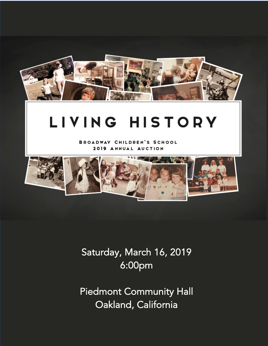

# LIVING HISTORY

**BROADWAY CHILDREN'S SCHOOL** 2019 ANNUAL AUCTION



Saturday, March 16, 2019 6:00pm

Piedmont Community Hall Oakland, California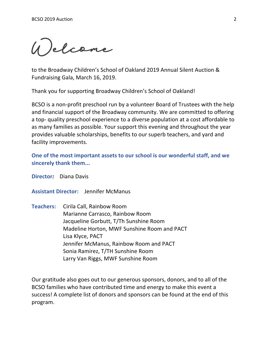Welcome

to the Broadway Children's School of Oakland 2019 Annual Silent Auction & Fundraising Gala, March 16, 2019.

Thank you for supporting Broadway Children's School of Oakland!

BCSO is a non-profit preschool run by a volunteer Board of Trustees with the help and financial support of the Broadway community. We are committed to offering a top- quality preschool experience to a diverse population at a cost affordable to as many families as possible. Your support this evening and throughout the year provides valuable scholarships, benefits to our superb teachers, and yard and facility improvements.

**One of the most important assets to our school is our wonderful staff, and we sincerely thank them...** 

**Director***:* Diana Davis

**Assistant Director:** Jennifer McManus

**Teachers:** Cirila Call, Rainbow Room Marianne Carrasco, Rainbow Room Jacqueline Gorbutt, T/Th Sunshine Room Madeline Horton, MWF Sunshine Room and PACT Lisa Klyce, PACT Jennifer McManus, Rainbow Room and PACT Sonia Ramirez, T/TH Sunshine Room Larry Van Riggs, MWF Sunshine Room

Our gratitude also goes out to our generous sponsors, donors, and to all of the BCSO families who have contributed time and energy to make this event a success! A complete list of donors and sponsors can be found at the end of this program.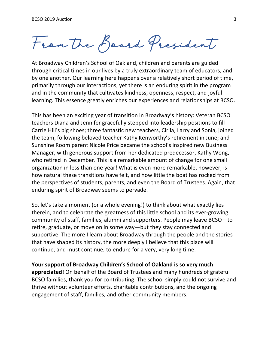From the Board President

At Broadway Children's School of Oakland, children and parents are guided through critical times in our lives by a truly extraordinary team of educators, and by one another. Our learning here happens over a relatively short period of time, primarily through our interactions, yet there is an enduring spirit in the program and in the community that cultivates kindness, openness, respect, and joyful learning. This essence greatly enriches our experiences and relationships at BCSO.

This has been an exciting year of transition in Broadway's history: Veteran BCSO teachers Diana and Jennifer gracefully stepped into leadership positions to fill Carrie Hill's big shoes; three fantastic new teachers, Cirila, Larry and Sonia, joined the team, following beloved teacher Kathy Kenworthy's retirement in June; and Sunshine Room parent Nicole Price became the school's inspired new Business Manager, with generous support from her dedicated predecessor, Kathy Wong, who retired in December. This is a remarkable amount of change for one small organization in less than one year! What is even more remarkable, however, is how natural these transitions have felt, and how little the boat has rocked from the perspectives of students, parents, and even the Board of Trustees. Again, that enduring spirit of Broadway seems to pervade.

So, let's take a moment (or a whole evening!) to think about what exactly lies therein, and to celebrate the greatness of this little school and its ever-growing community of staff, families, alumni and supporters. People may leave BCSO—to retire, graduate, or move on in some way—but they stay connected and supportive. The more I learn about Broadway through the people and the stories that have shaped its history, the more deeply I believe that this place will continue, and must continue, to endure for a very, very long time.

**Your support of Broadway Children's School of Oakland is so very much appreciated!** On behalf of the Board of Trustees and many hundreds of grateful BCSO families, thank you for contributing. The school simply could not survive and thrive without volunteer efforts, charitable contributions, and the ongoing engagement of staff, families, and other community members.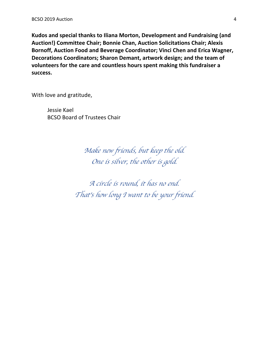**Kudos and special thanks to Iliana Morton, Development and Fundraising (and Auction!) Committee Chair; Bonnie Chan, Auction Solicitations Chair; Alexis Bornoff, Auction Food and Beverage Coordinator; Vinci Chen and Erica Wagner, Decorations Coordinators; Sharon Demant, artwork design; and the team of volunteers for the care and countless hours spent making this fundraiser a success.** 

With love and gratitude,

Jessie Kael BCSO Board of Trustees Chair

> *Make new friends, but keep the old. One is silver, the other is gold.*

*A circle is round, it has no end. That*'*s how long I want to be your friend.*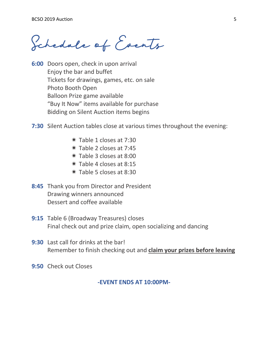Schedule of Events

- **6:00** Doors open, check in upon arrival Enjoy the bar and buffet Tickets for drawings, games, etc. on sale Photo Booth Open Balloon Prize game available "Buy It Now" items available for purchase Bidding on Silent Auction items begins
- **7:30** Silent Auction tables close at various times throughout the evening:
	- $*$  Table 1 closes at 7:30
	- $*$  Table 2 closes at 7:45
	- $*$  Table 3 closes at 8:00
	- $*$  Table 4 closes at 8:15
	- $*$  Table 5 closes at 8:30
- **8:45** Thank you from Director and President Drawing winners announced Dessert and coffee available
- **9:15** Table 6 (Broadway Treasures) closes Final check out and prize claim, open socializing and dancing
- **9:30** Last call for drinks at the bar! Remember to finish checking out and **claim your prizes before leaving**
- **9:50** Check out Closes

#### **-EVENT ENDS AT 10:00PM-**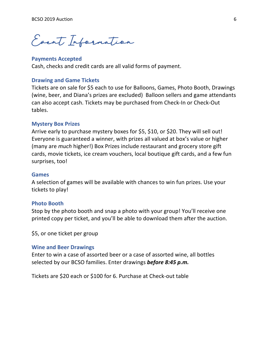Event Information

**Payments Accepted**  Cash, checks and credit cards are all valid forms of payment.

#### **Drawing and Game Tickets**

Tickets are on sale for \$5 each to use for Balloons, Games, Photo Booth, Drawings (wine, beer, and Diana's prizes are excluded) Balloon sellers and game attendants can also accept cash. Tickets may be purchased from Check-In or Check-Out tables.

#### **Mystery Box Prizes**

Arrive early to purchase mystery boxes for \$5, \$10, or \$20. They will sell out! Everyone is guaranteed a winner, with prizes all valued at box's value or higher (many are *much* higher!) Box Prizes include restaurant and grocery store gift cards, movie tickets, ice cream vouchers, local boutique gift cards, and a few fun surprises, too!

#### **Games**

A selection of games will be available with chances to win fun prizes. Use your tickets to play!

#### **Photo Booth**

Stop by the photo booth and snap a photo with your group! You'll receive one printed copy per ticket, and you'll be able to download them after the auction.

\$5, or one ticket per group

#### **Wine and Beer Drawings**

Enter to win a case of assorted beer or a case of assorted wine, all bottles selected by our BCSO families. Enter drawings *before 8:45 p.m.* 

Tickets are \$20 each or \$100 for 6. Purchase at Check-out table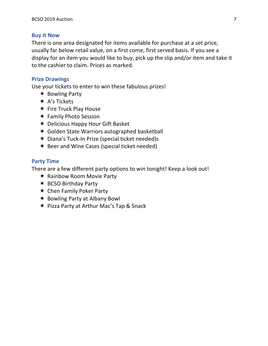#### **Buy It Now**

There is one area designated for items available for purchase at a set price, usually far below retail value, on a first come, first served basis. If you see a display for an item you would like to buy, pick up the slip and/or item and take it to the cashier to claim. Prices as marked.

#### **Prize Drawings**

Use your tickets to enter to win these fabulous prizes!

- $*$  Bowling Party
- $*$  A's Tickets
- $*$  Fire Truck Play House
- í Family Photo Session
- $*$  Delicious Happy Hour Gift Basket
- $*$  Golden State Warriors autographed basketball
- í Diana's Tuck-In Prize (special ticket needed)s
- $*$  Beer and Wine Cases (special ticket needed)

#### **Party Time**

There are a few different party options to win tonight! Keep a look out!

- $*$  Rainbow Room Movie Party
- \* BCSO Birthday Party
- $*$  Chen Family Poker Party
- $*$  Bowling Party at Albany Bowl
- í Pizza Party at Arthur Mac's Tap & Snack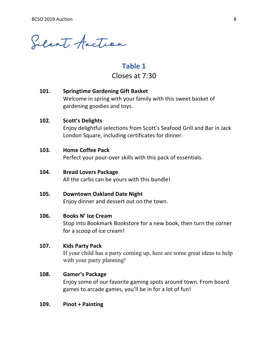Silent Auction

## **Table 1** Closes at 7:30

**101. Springtime Gardening Gift Basket** Welcome in spring with your family with this sweet basket of gardening goodies and toys. **102. Scott's Delights** Enjoy delightful selections from Scott's Seafood Grill and Bar in Jack London Square, including certificates for dinner. **103. Home Coffee Pack** Perfect your pour-over skills with this pack of essentials. **104. Bread Lovers Package** All the carbs can be yours with this bundle! **105. Downtown Oakland Date Night** Enjoy dinner and dessert out on the town. **106. Books N' Ice Cream** Stop into Bookmark Bookstore for a new book, then turn the corner for a scoop of ice cream! **107. Kids Party Pack** If your child has a party coming up, here are some great ideas to help

## with your party planning!

## Enjoy some of our favorite gaming spots around town. From board games to arcade games, you'll be in for a lot of fun!

#### **109. Pinot + Painting**

**108. Gamer's Package**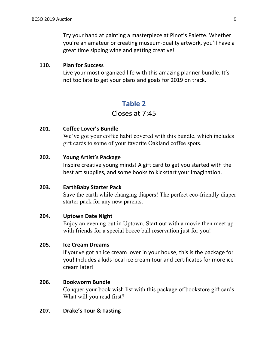Try your hand at painting a masterpiece at Pinot's Palette. Whether you're an amateur or creating museum-quality artwork, you'll have a great time sipping wine and getting creative!

#### **110. Plan for Success**

Live your most organized life with this amazing planner bundle. It's not too late to get your plans and goals for 2019 on track.

## **Table 2**

## Closes at 7:45

#### **201. Coffee Lover's Bundle**

We've got your coffee habit covered with this bundle, which includes gift cards to some of your favorite Oakland coffee spots.

#### **202. Young Artist's Package**

Inspire creative young minds! A gift card to get you started with the best art supplies, and some books to kickstart your imagination.

#### **203. EarthBaby Starter Pack**

Save the earth while changing diapers! The perfect eco-friendly diaper starter pack for any new parents.

#### **204. Uptown Date Night**

Enjoy an evening out in Uptown. Start out with a movie then meet up with friends for a special bocce ball reservation just for you!

#### **205. Ice Cream Dreams**

If you've got an ice cream lover in your house, this is the package for you! Includes a kids local ice cream tour and certificates for more ice cream later!

#### **206. Bookworm Bundle**

Conquer your book wish list with this package of bookstore gift cards. What will you read first?

#### **207. Drake's Tour & Tasting**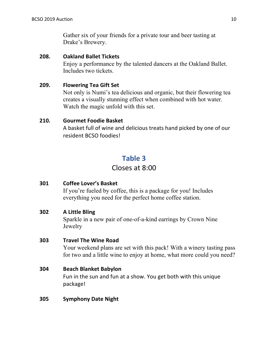Gather six of your friends for a private tour and beer tasting at Drake's Brewery.

#### **208. Oakland Ballet Tickets**

Enjoy a performance by the talented dancers at the Oakland Ballet. Includes two tickets.

#### **209. Flowering Tea Gift Set**

Not only is Numi's tea delicious and organic, but their flowering tea creates a visually stunning effect when combined with hot water. Watch the magic unfold with this set.

#### **210. Gourmet Foodie Basket**

A basket full of wine and delicious treats hand picked by one of our resident BCSO foodies!

## **Table 3**

## Closes at 8:00

## **301 Coffee Lover's Basket**

If you're fueled by coffee, this is a package for you! Includes everything you need for the perfect home coffee station.

#### **302 A Little Bling**

Sparkle in a new pair of one-of-a-kind earrings by Crown Nine Jewelry

#### **303 Travel The Wine Road**

Your weekend plans are set with this pack! With a winery tasting pass for two and a little wine to enjoy at home, what more could you need?

#### **304 Beach Blanket Babylon**

Fun in the sun and fun at a show. You get both with this unique package!

#### **305 Symphony Date Night**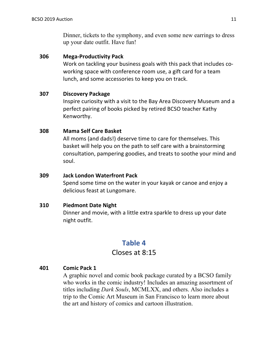Dinner, tickets to the symphony, and even some new earrings to dress up your date outfit. Have fun!

#### **306 Mega-Productivity Pack**

Work on tackling your business goals with this pack that includes coworking space with conference room use, a gift card for a team lunch, and some accessories to keep you on track.

#### **307 Discovery Package**

Inspire curiosity with a visit to the Bay Area Discovery Museum and a perfect pairing of books picked by retired BCSO teacher Kathy Kenworthy.

#### **308 Mama Self Care Basket**

All moms (and dads!) deserve time to care for themselves. This basket will help you on the path to self care with a brainstorming consultation, pampering goodies, and treats to soothe your mind and soul.

#### **309 Jack London Waterfront Pack**

Spend some time on the water in your kayak or canoe and enjoy a delicious feast at Lungomare.

#### **310 Piedmont Date Night**

Dinner and movie, with a little extra sparkle to dress up your date night outfit.

## **Table 4**

## Closes at 8:15

#### **401 Comic Pack 1**

A graphic novel and comic book package curated by a BCSO family who works in the comic industry! Includes an amazing assortment of titles including *Dark Souls*, MCMLXX, and others. Also includes a trip to the Comic Art Museum in San Francisco to learn more about the art and history of comics and cartoon illustration.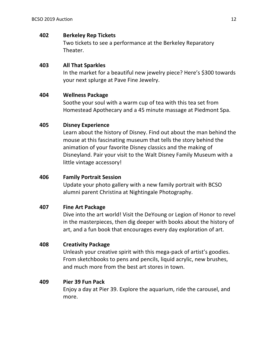#### **402 Berkeley Rep Tickets**

Two tickets to see a performance at the Berkeley Reparatory Theater.

#### **403 All That Sparkles**

In the market for a beautiful new jewelry piece? Here's \$300 towards your next splurge at Pave Fine Jewelry.

#### **404 Wellness Package**

Soothe your soul with a warm cup of tea with this tea set from Homestead Apothecary and a 45 minute massage at Piedmont Spa.

#### **405 Disney Experience**

Learn about the history of Disney. Find out about the man behind the mouse at this fascinating museum that tells the story behind the animation of your favorite Disney classics and the making of Disneyland. Pair your visit to the Walt Disney Family Museum with a little vintage accessory!

#### **406 Family Portrait Session**

Update your photo gallery with a new family portrait with BCSO alumni parent Christina at Nightingale Photography.

#### **407 Fine Art Package**

Dive into the art world! Visit the DeYoung or Legion of Honor to revel in the masterpieces, then dig deeper with books about the history of art, and a fun book that encourages every day exploration of art.

#### **408 Creativity Package**

Unleash your creative spirit with this mega-pack of artist's goodies. From sketchbooks to pens and pencils, liquid acrylic, new brushes, and much more from the best art stores in town.

#### **409 Pier 39 Fun Pack**

Enjoy a day at Pier 39. Explore the aquarium, ride the carousel, and more.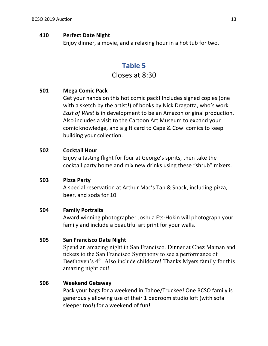#### **410 Perfect Date Night**

Enjoy dinner, a movie, and a relaxing hour in a hot tub for two.

## **Table 5**

## Closes at 8:30

#### **501 Mega Comic Pack**

Get your hands on this hot comic pack! Includes signed copies (one with a sketch by the artist!) of books by Nick Dragotta, who's work *East of West* is in development to be an Amazon original production. Also includes a visit to the Cartoon Art Museum to expand your comic knowledge, and a gift card to Cape & Cowl comics to keep building your collection.

#### **502 Cocktail Hour**

Enjoy a tasting flight for four at George's spirits, then take the cocktail party home and mix new drinks using these "shrub" mixers.

#### **503 Pizza Party**

A special reservation at Arthur Mac's Tap & Snack, including pizza, beer, and soda for 10.

#### **504 Family Portraits**

Award winning photographer Joshua Ets-Hokin will photograph your family and include a beautiful art print for your walls.

#### **505 San Francisco Date Night**

Spend an amazing night in San Francisco. Dinner at Chez Maman and tickets to the San Francisco Symphony to see a performance of Beethoven's 4<sup>th</sup>. Also include childcare! Thanks Myers family for this amazing night out!

#### **506 Weekend Getaway**

Pack your bags for a weekend in Tahoe/Truckee! One BCSO family is generously allowing use of their 1 bedroom studio loft (with sofa sleeper too!) for a weekend of fun!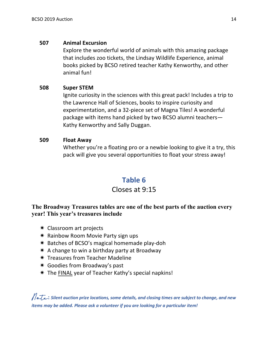#### **507 Animal Excursion**

Explore the wonderful world of animals with this amazing package that includes zoo tickets, the Lindsay Wildlife Experience, animal books picked by BCSO retired teacher Kathy Kenworthy, and other animal fun!

#### **508 Super STEM**

Ignite curiosity in the sciences with this great pack! Includes a trip to the Lawrence Hall of Sciences, books to inspire curiosity and experimentation, and a 32-piece set of Magna Tiles! A wonderful package with items hand picked by two BCSO alumni teachers— Kathy Kenworthy and Sally Duggan.

#### **509 Float Away**

Whether you're a floating pro or a newbie looking to give it a try, this pack will give you several opportunities to float your stress away!

## **Table 6**

## Closes at 9:15

## **The Broadway Treasures tables are one of the best parts of the auction every year! This year's treasures include**

- $*$  Classroom art projects
- $*$  Rainbow Room Movie Party sign ups
- $*$  Batches of BCSO's magical homemade play-doh
- $*$  A change to win a birthday party at Broadway
- $*$  Treasures from Teacher Madeline
- $*$  Goodies from Broadway's past
- $*$  The FINAL year of Teacher Kathy's special napkins!

Note**:** *Silent auction prize locations, some details, and closing times are subject to change, and new items may be added. Please ask a volunteer if you are looking for a particular item!*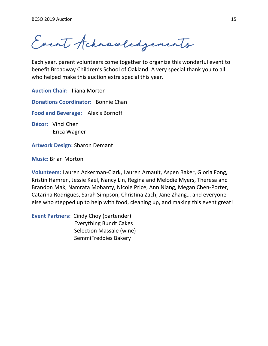Event Acknowledgements

Each year, parent volunteers come together to organize this wonderful event to benefit Broadway Children's School of Oakland. A very special thank you to all who helped make this auction extra special this year.

**Auction Chair:** Iliana Morton

**Donations Coordinator:** Bonnie Chan

**Food and Beverage:** Alexis Bornoff

**Décor:** Vinci Chen Erica Wagner

**Artwork Design:** Sharon Demant

**Music:** Brian Morton

**Volunteers:** Lauren Ackerman-Clark, Lauren Arnault, Aspen Baker, Gloria Fong, Kristin Hamren, Jessie Kael, Nancy Lin, Regina and Melodie Myers, Theresa and Brandon Mak, Namrata Mohanty, Nicole Price, Ann Niang, Megan Chen-Porter, Catarina Rodrigues, Sarah Simpson, Christina Zach, Jane Zhang… and everyone else who stepped up to help with food, cleaning up, and making this event great!

**Event Partners:** Cindy Choy (bartender) Everything Bundt Cakes Selection Massale (wine) SemmiFreddies Bakery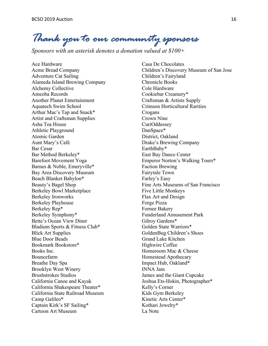*Thank you to our community sponsors* 

*Sponsors with an asterisk denotes a donation valued at \$100+*

Ace Hardware Acme Bread Company Adventure Cat Sailing Alameda Island Brewing Company Alchemy Collective Ameoba Records Another Planet Entertainment Aquatech Swim School Arthur Mac's Tap and Snack\* Artist and Craftsman Supplies Asha Tea House Athletic Playground Atomic Garden Aunt Mary's Café Bar Cesar Bar Method Berkeley\* Barefoot Movement Yoga Barnes & Noble, Emeryville\* Bay Area Discovery Museum Beach Blanket Babylon\* Beauty's Bagel Shop Berkeley Bowl Marketplace Berkeley Ironworks Berkeley Playhouse Berkeley Rep\* Berkeley Symphony\* Bette's Ocean View Diner Bladium Sports & Fitness Club\* Blick Art Supplies Blue Door Beads Bookmark Bookstore\* Books Inc. Bouncefarm Breathe Day Spa Brooklyn West Winery Brushstrokes Studios California Canoe and Kayak California Shakespeare Theater\* California State Railroad Museum Camp Galileo\* Captain Kirk's SF Sailing\* Cartoon Art Museum

Casa De Chocolates Children's Discovery Museum of San Jose Children's Fairyland Chronicle Books Cole Hardware Cookiebar Creamery\* Craftsman & Artists Supply Crimson Horticultural Rarities Crogans Crown Nine CuriOddessey DanSpace\* District, Oakland Drake's Brewing Company EarthBaby\* East Bay Dance Center Emperor Norton's Walking Tours\* Faction Brewing Fairytale Town Farley's Easy Fine Arts Museums of San Francisco Five Little Monkeys Flax Art and Design Forge Pizza Fornee Bakery Funderland Amusement Park Gilroy Gardens\* Golden State Warriors\* GoldenBug Children's Shoes Grand Lake Kitchen Highwire Coffee Homeroom Mac & Cheese Homestead Apothecary Impact Hub, Oakland\* INNA Jam James and the Giant Cupcake Joshua Ets-Hokin, Photographer\* Kelly's Corner Kids Gym Berkeley Kinetic Arts Center\* Kothari Jewelry\* La Note